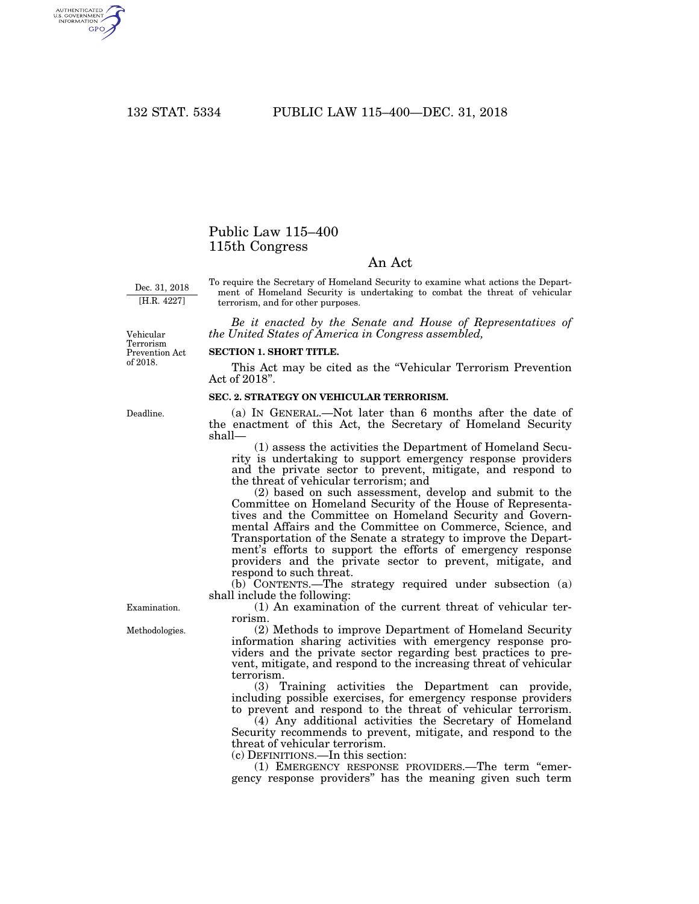AUTHENTICATED<br>U.S. GOVERNMENT<br>INFORMATION **GPO** 

## Public Law 115–400 115th Congress

## An Act

Dec. 31, 2018 [H.R. 4227]

To require the Secretary of Homeland Security to examine what actions the Department of Homeland Security is undertaking to combat the threat of vehicular terrorism, and for other purposes.

*Be it enacted by the Senate and House of Representatives of the United States of America in Congress assembled,* 

Vehicular Terrorism Prevention Act of 2018.

## **SECTION 1. SHORT TITLE.**

This Act may be cited as the ''Vehicular Terrorism Prevention Act of 2018''.

## **SEC. 2. STRATEGY ON VEHICULAR TERRORISM.**

Deadline.

(a) IN GENERAL.—Not later than 6 months after the date of the enactment of this Act, the Secretary of Homeland Security shall—

(1) assess the activities the Department of Homeland Security is undertaking to support emergency response providers and the private sector to prevent, mitigate, and respond to the threat of vehicular terrorism; and

(2) based on such assessment, develop and submit to the Committee on Homeland Security of the House of Representatives and the Committee on Homeland Security and Governmental Affairs and the Committee on Commerce, Science, and Transportation of the Senate a strategy to improve the Department's efforts to support the efforts of emergency response providers and the private sector to prevent, mitigate, and respond to such threat.

(b) CONTENTS.—The strategy required under subsection (a) shall include the following:

(1) An examination of the current threat of vehicular terrorism.

(2) Methods to improve Department of Homeland Security information sharing activities with emergency response providers and the private sector regarding best practices to prevent, mitigate, and respond to the increasing threat of vehicular terrorism.

(3) Training activities the Department can provide, including possible exercises, for emergency response providers to prevent and respond to the threat of vehicular terrorism.

(4) Any additional activities the Secretary of Homeland Security recommends to prevent, mitigate, and respond to the threat of vehicular terrorism.

(c) DEFINITIONS.—In this section:

(1) EMERGENCY RESPONSE PROVIDERS.—The term ''emergency response providers'' has the meaning given such term

Examination.

Methodologies.